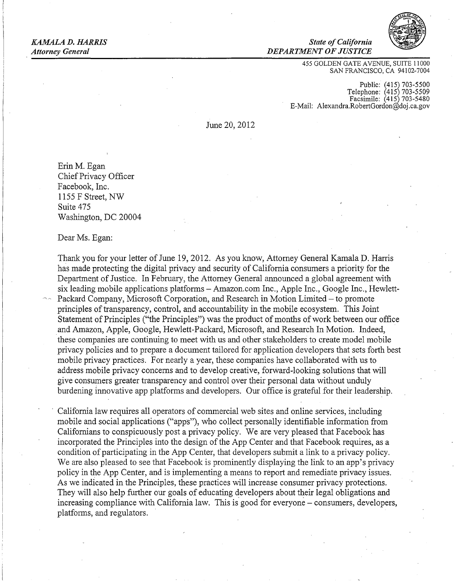**KAMALA D. HARRIS** State of California *Attorney General DEPARTMENTOFJUSTICE* 



455 GOLDEN GATE AVENUE, SUITE 11000 SAN FRANCISCO, CA 94102-7004

Public: (415) 703-5500 Telephone: (415) 703-5509 Facsimile: (415) 703-5480 E-Mail: Alexandra.RobertGordon@doj .ca.gov

June 20, 2012

ErinM. Egan Chief Privacy Officer Facebook, Inc. 1155 F Street, NW Suite 475 Washington, DC 20004

Dear Ms. Egan:

Thank you for your letter of June 19, 2012. As you know, Attorney General Kamala D. Harris has made protecting the digital privacy and security of California consumers a priority for the Department of Justice. In February, the Attorney General announced a global agreement with six leading mobile applications platforms- Amazon.com Inc., Apple Inc., Google Inc., Hewlett-Packard Company, Microsoft Corporation, and Research in Motion Limited- to promote principles of transparency, control, and accountability in the mobile ecosystem. This Joint Statement of Principles ("the Principles") was the product of months of work between our office and Amazon, Apple, Google, Hewlett-Packard, Microsoft, and Research In Motion. Indeed, · these companies are continuing to meet with us and other stakeholders to create model mobile privacy policies and to prepare a document tailored for application developers that sets forth best mobile privacy practices. For nearly a year, these companies have collaborated with us to address mobile privacy concerns and to develop creative, forward-looking solutions that will give consumers greater transparency and control over their personal data without unduly burdening innovative app platforms and developers. Our office is grateful for their leadership.

California law requires all operators of commercial web sites and online services, including mobile and social applications ("apps"), who collect personally identifiable information from Californians to conspicuously post a privacy policy. We are very pleased that Facebook has incorporated the Principles into the design of the App Center and that Facebook requires, as a condition of participating in the App Center, that developers submit a link to a privacy policy. We are also pleased to see that Facebook is prominently displaying the link to an app's privacy policy in the App Center, and is implementing a means to report and remediate privacy issues. As we indicated in the Principles, these practices will increase consumer privacy protections. They will also help further our goals of educating developers about their legal obligations and increasing compliance with California law. This is good for everyone – consumers, developers, platforms, and regulators.